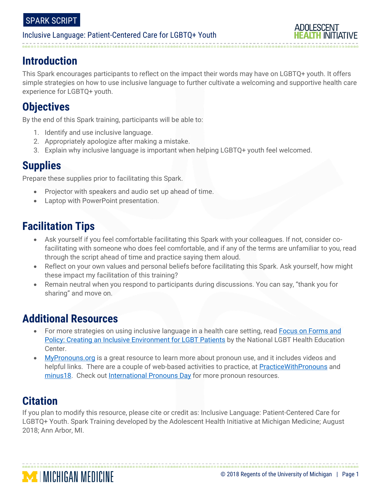# **Introduction**

This Spark encourages participants to reflect on the impact their words may have on LGBTQ+ youth. It offers simple strategies on how to use inclusive language to further cultivate a welcoming and supportive health care experience for LGBTQ+ youth.

# **Objectives**

By the end of this Spark training, participants will be able to:

- 1. Identify and use inclusive language.
- 2. Appropriately apologize after making a mistake.
- 3. Explain why inclusive language is important when helping LGBTQ+ youth feel welcomed.

# **Supplies**

Prepare these supplies prior to facilitating this Spark.

- Projector with speakers and audio set up ahead of time.
- Laptop with PowerPoint presentation.

# **Facilitation Tips**

- Ask yourself if you feel comfortable facilitating this Spark with your colleagues. If not, consider cofacilitating with someone who does feel comfortable, and if any of the terms are unfamiliar to you, read through the script ahead of time and practice saying them aloud.
- Reflect on your own values and personal beliefs before facilitating this Spark. Ask yourself, how might these impact my facilitation of this training?
- Remain neutral when you respond to participants during discussions. You can say, "thank you for sharing" and move on.

# **Additional Resources**

**MINICHIGAN MEDICINE** 

- For more strategies on using inclusive language in a health care setting, read [Focus on Forms and](https://www.lgbthealtheducation.org/wp-content/uploads/2017/08/Forms-and-Policy-Brief.pdf)  [Policy: Creating an Inclusive Environment for LGBT Patients](https://www.lgbthealtheducation.org/wp-content/uploads/2017/08/Forms-and-Policy-Brief.pdf) by the National LGBT Health Education Center.
- [MyPronouns.org](https://www.mypronouns.org/) is a great resource to learn more about pronoun use, and it includes videos and helpful links. There are a couple of web-based activities to practice, a[t PracticeWithPronouns](https://www.practicewithpronouns.com/#/?_k=kyercc) and [minus18.](https://www.practicewithpronouns.com/#/?_k=kyercc) Check out [International Pronouns Day](https://pronounsday.org/resources/) for more pronoun resources.

# **Citation**

If you plan to modify this resource, please cite or credit as: Inclusive Language: Patient-Centered Care for LGBTQ+ Youth. Spark Training developed by the Adolescent Health Initiative at Michigan Medicine; August 2018; Ann Arbor, MI.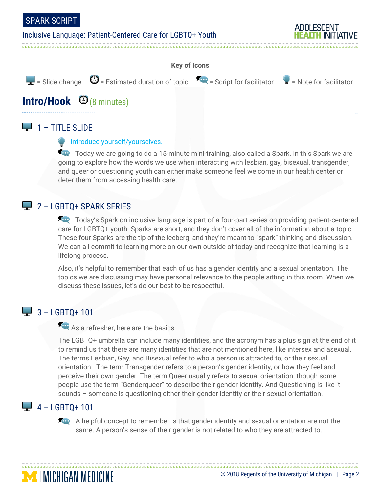





# $\Box$  1 – TITLE SLIDE

#### **Introduce yourself/yourselves.**

Today we are going to do a 15-minute mini-training, also called a Spark. In this Spark we are going to explore how the words we use when interacting with lesbian, gay, bisexual, transgender, and queer or questioning youth can either make someone feel welcome in our health center or deter them from accessing health care.

# $2 -$  LGBTQ+ SPARK SERIES

Today's Spark on inclusive language is part of a four-part series on providing patient-centered care for LGBTQ+ youth. Sparks are short, and they don't cover all of the information about a topic. These four Sparks are the tip of the iceberg, and they're meant to "spark" thinking and discussion. We can all commit to learning more on our own outside of today and recognize that learning is a lifelong process.

Also, it's helpful to remember that each of us has a gender identity and a sexual orientation. The topics we are discussing may have personal relevance to the people sitting in this room. When we discuss these issues, let's do our best to be respectful.

# $\frac{1}{2}$  3 – LGBTQ+ 101

As a refresher, here are the basics.

The LGBTQ+ umbrella can include many identities, and the acronym has a plus sign at the end of it to remind us that there are many identities that are not mentioned here, like intersex and asexual. The terms Lesbian, Gay, and Bisexual refer to who a person is attracted to, or their sexual orientation. The term Transgender refers to a person's gender identity, or how they feel and perceive their own gender. The term Queer usually refers to sexual orientation, though some people use the term "Genderqueer" to describe their gender identity. And Questioning is like it sounds – someone is questioning either their gender identity or their sexual orientation.

# $\Box$  4 – LGBTO+ 101

**MINICHIGAN MEDICINE** 

A helpful concept to remember is that gender identity and sexual orientation are not the same. A person's sense of their gender is not related to who they are attracted to.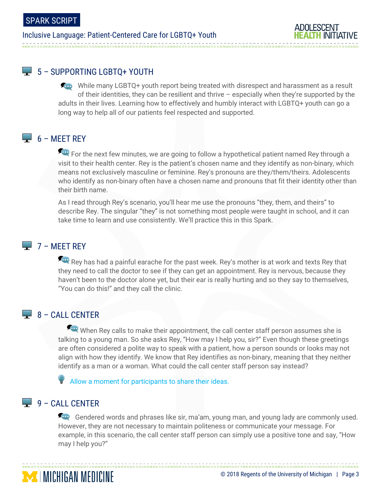# 5 - SUPPORTING LGBTQ+ YOUTH

While many LGBTQ+ youth report being treated with disrespect and harassment as a result of their identities, they can be resilient and thrive – especially when they're supported by the adults in their lives. Learning how to effectively and humbly interact with LGBTQ+ youth can go a long way to help all of our patients feel respected and supported.

# $\Box$  6 – MEET REY

For the next few minutes, we are going to follow a hypothetical patient named Rey through a visit to their health center. Rey is the patient's chosen name and they identify as non-binary, which means not exclusively masculine or feminine. Rey's pronouns are they/them/theirs. Adolescents who identify as non-binary often have a chosen name and pronouns that fit their identity other than their birth name.

As I read through Rey's scenario, you'll hear me use the pronouns "they, them, and theirs" to describe Rey. The singular "they" is not something most people were taught in school, and it can take time to learn and use consistently. We'll practice this in this Spark.

## $\Box$  7 – MEET REY

Rey has had a painful earache for the past week. Rey's mother is at work and texts Rey that they need to call the doctor to see if they can get an appointment. Rey is nervous, because they haven't been to the doctor alone yet, but their ear is really hurting and so they say to themselves, "You can do this!" and they call the clinic.

# $\Box$  8 – CALL CENTER

When Rey calls to make their appointment, the call center staff person assumes she is talking to a young man. So she asks Rey, "How may I help you, sir?" Even though these greetings are often considered a polite way to speak with a patient, how a person sounds or looks may not align with how they identify. We know that Rey identifies as non-binary, meaning that they neither identify as a man or a woman. What could the call center staff person say instead?

Allow a moment for participants to share their ideas.

# $\Box$  9 – CALL CENTER

**MINICHIGAN MEDICINE** 

Gendered words and phrases like sir, ma'am, young man, and young lady are commonly used. However, they are not necessary to maintain politeness or communicate your message. For example, in this scenario, the call center staff person can simply use a positive tone and say, "How may I help you?"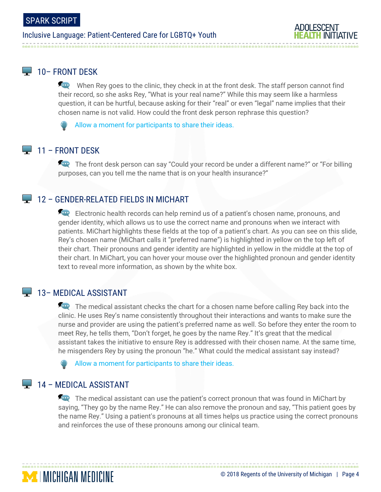# $\Box$  10– FRONT DESK

When Rey goes to the clinic, they check in at the front desk. The staff person cannot find their record, so she asks Rey, "What is your real name?" While this may seem like a harmless question, it can be hurtful, because asking for their "real" or even "legal" name implies that their chosen name is not valid. How could the front desk person rephrase this question?

Allow a moment for participants to share their ideas.

# $\Box$  11 – FRONT DESK

The front desk person can say "Could your record be under a different name?" or "For billing" purposes, can you tell me the name that is on your health insurance?"

## **12 - GENDER-RELATED FIELDS IN MICHART**

Electronic health records can help remind us of a patient's chosen name, pronouns, and gender identity, which allows us to use the correct name and pronouns when we interact with patients. MiChart highlights these fields at the top of a patient's chart. As you can see on this slide, Rey's chosen name (MiChart calls it "preferred name") is highlighted in yellow on the top left of their chart. Their pronouns and gender identity are highlighted in yellow in the middle at the top of their chart. In MiChart, you can hover your mouse over the highlighted pronoun and gender identity text to reveal more information, as shown by the white box.

## **13 – MEDICAL ASSISTANT**

The medical assistant checks the chart for a chosen name before calling Rey back into the clinic. He uses Rey's name consistently throughout their interactions and wants to make sure the nurse and provider are using the patient's preferred name as well. So before they enter the room to meet Rey, he tells them, "Don't forget, he goes by the name Rey." It's great that the medical assistant takes the initiative to ensure Rey is addressed with their chosen name. At the same time, he misgenders Rey by using the pronoun "he." What could the medical assistant say instead?

Allow a moment for participants to share their ideas.

## $\Box$  14 – MEDICAL ASSISTANT

**MINICHIGAN MEDICINE** 

The medical assistant can use the patient's correct pronoun that was found in MiChart by saying, "They go by the name Rey." He can also remove the pronoun and say, "This patient goes by the name Rey." Using a patient's pronouns at all times helps us practice using the correct pronouns and reinforces the use of these pronouns among our clinical team.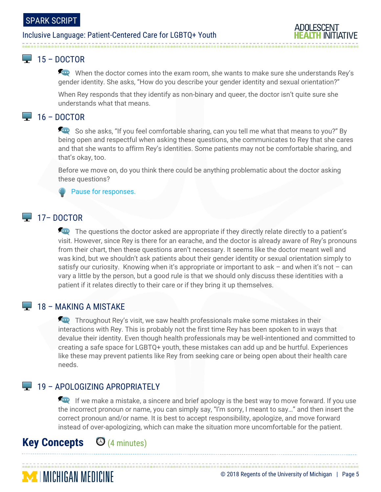# $\Box$  15 – DOCTOR

When the doctor comes into the exam room, she wants to make sure she understands Rey's gender identity. She asks, "How do you describe your gender identity and sexual orientation?"

When Rey responds that they identify as non-binary and queer, the doctor isn't quite sure she understands what that means.

# $\Box$  16 – DOCTOR

So she asks, "If you feel comfortable sharing, can you tell me what that means to you?" By being open and respectful when asking these questions, she communicates to Rey that she cares and that she wants to affirm Rey's identities. Some patients may not be comfortable sharing, and that's okay, too.

Before we move on, do you think there could be anything problematic about the doctor asking these questions?

#### **Pause for responses.**

# $\Box$  17– DOCTOR

The questions the doctor asked are appropriate if they directly relate directly to a patient's visit. However, since Rey is there for an earache, and the doctor is already aware of Rey's pronouns from their chart, then these questions aren't necessary. It seems like the doctor meant well and was kind, but we shouldn't ask patients about their gender identity or sexual orientation simply to satisfy our curiosity. Knowing when it's appropriate or important to ask – and when it's not – can vary a little by the person, but a good rule is that we should only discuss these identities with a patient if it relates directly to their care or if they bring it up themselves.

# $\Box$  18 – MAKING A MISTAKE

Throughout Rey's visit, we saw health professionals make some mistakes in their interactions with Rey. This is probably not the first time Rey has been spoken to in ways that devalue their identity. Even though health professionals may be well-intentioned and committed to creating a safe space for LGBTQ+ youth, these mistakes can add up and be hurtful. Experiences like these may prevent patients like Rey from seeking care or being open about their health care needs.

# **19 - APOLOGIZING APROPRIATELY**

If we make a mistake, a sincere and brief apology is the best way to move forward. If you use the incorrect pronoun or name, you can simply say, "I'm sorry, I meant to say…" and then insert the correct pronoun and/or name. It is best to accept responsibility, apologize, and move forward instead of over-apologizing, which can make the situation more uncomfortable for the patient.

# **Key Concepts** (4 minutes)

**MENIGAN MEDICINE** 

#### © 2018 Regents of the University of Michigan | Page 5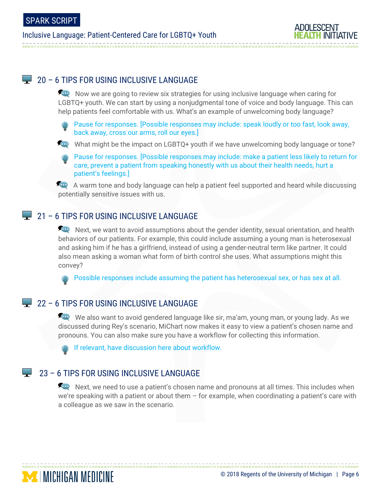## $\Box$  20 – 6 TIPS FOR USING INCLUSIVE LANGUAGE

Now we are going to review six strategies for using inclusive language when caring for LGBTQ+ youth. We can start by using a nonjudgmental tone of voice and body language. This can help patients feel comfortable with us. What's an example of unwelcoming body language?

Pause for responses. [Possible responses may include: speak loudly or too fast, look away, back away, cross our arms, roll our eyes.]

What might be the impact on LGBTQ+ youth if we have unwelcoming body language or tone?

Pause for responses. [Possible responses may include: make a patient less likely to return for care, prevent a patient from speaking honestly with us about their health needs, hurt a patient's feelings.]

A warm tone and body language can help a patient feel supported and heard while discussing potentially sensitive issues with us.

## $\Box$  21 – 6 TIPS FOR USING INCLUSIVE LANGUAGE

Next, we want to avoid assumptions about the gender identity, sexual orientation, and health behaviors of our patients. For example, this could include assuming a young man is heterosexual and asking him if he has a girlfriend, instead of using a gender-neutral term like partner. It could also mean asking a woman what form of birth control she uses. What assumptions might this convey?

Possible responses include assuming the patient has heterosexual sex, or has sex at all.

## $22 - 6$  TIPS FOR USING INCLUSIVE LANGUAGE

We also want to avoid gendered language like sir, ma'am, young man, or young lady. As we discussed during Rey's scenario, MiChart now makes it easy to view a patient's chosen name and pronouns. You can also make sure you have a workflow for collecting this information.

If relevant, have discussion here about workflow.

#### $\mathcal{L}_{\mathcal{A}}$ 23 – 6 TIPS FOR USING INCLUSIVE LANGUAGE

**MICHIGAN MEDICINE** 

Accept Next, we need to use a patient's chosen name and pronouns at all times. This includes when we're speaking with a patient or about them  $-$  for example, when coordinating a patient's care with a colleague as we saw in the scenario.